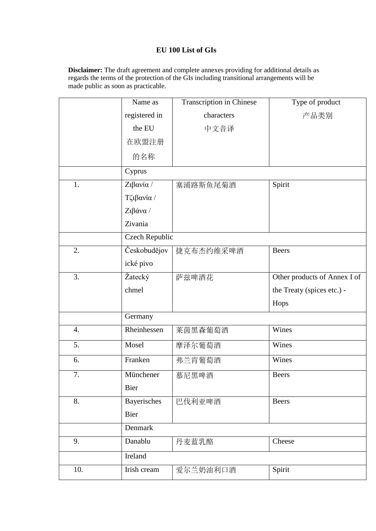## **EU 100 List of GIs**

**Disclaimer:** The draft agreement and complete annexes providing for additional details as regards the terms of the protection of the GIs including transitional arrangements will be made public as soon as practicable.

|     | Name as        | Transcription in Chinese | Type of product              |
|-----|----------------|--------------------------|------------------------------|
|     | registered in  | characters               | 产品类别                         |
|     | the EU         | 中文音译                     |                              |
|     | 在欧盟注册          |                          |                              |
|     | 的名称            |                          |                              |
|     | Cyprus         |                          |                              |
| 1.  | Ζιβανία /      | 塞浦路斯鱼尾菊酒                 | Spirit                       |
|     | Τζιβανία /     |                          |                              |
|     | Ζιβάνα /       |                          |                              |
|     | Zivania        |                          |                              |
|     | Czech Republic |                          |                              |
| 2.  | Českobudějov   | 捷克布杰约维采啤酒                | <b>Beers</b>                 |
|     | ické pivo      |                          |                              |
| 3.  | Žatecký        | 萨兹啤酒花                    | Other products of Annex I of |
|     | chmel          |                          | the Treaty (spices etc.) -   |
|     |                |                          | Hops                         |
|     | Germany        |                          |                              |
| 4.  | Rheinhessen    | 莱茵黑森葡萄酒                  | Wines                        |
| 5.  | Mosel          | 摩泽尔葡萄酒                   | Wines                        |
| 6.  | Franken        | 弗兰肯葡萄酒                   | Wines                        |
| 7.  | Münchener      | 慕尼黑啤酒                    | <b>Beers</b>                 |
|     | <b>Bier</b>    |                          |                              |
| 8.  | Bayerisches    | 巴伐利亚啤酒                   | <b>Beers</b>                 |
|     | Bier           |                          |                              |
|     | Denmark        |                          |                              |
| 9.  | Danablu        | 丹麦蓝乳酪                    | Cheese                       |
|     | Ireland        |                          |                              |
| 10. | Irish cream    | 爱尔兰奶油利口酒                 | Spirit                       |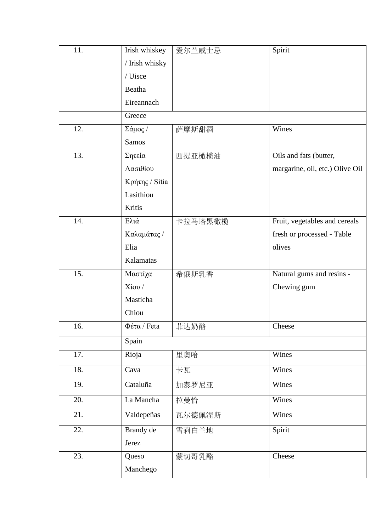| 11. | Irish whiskey  | 爱尔兰威士忌  | Spirit                          |
|-----|----------------|---------|---------------------------------|
|     | / Irish whisky |         |                                 |
|     | / Uisce        |         |                                 |
|     | Beatha         |         |                                 |
|     | Eireannach     |         |                                 |
|     | Greece         |         |                                 |
| 12. | Σάμος /        | 萨摩斯甜酒   | Wines                           |
|     | <b>Samos</b>   |         |                                 |
| 13. | Σητεία         | 西提亚橄榄油  | Oils and fats (butter,          |
|     | Λασιθίου       |         | margarine, oil, etc.) Olive Oil |
|     | Κρήτης / Sitia |         |                                 |
|     | Lasithiou      |         |                                 |
|     | Kritis         |         |                                 |
| 14. | Ελιά           | 卡拉马塔黑橄榄 | Fruit, vegetables and cereals   |
|     | Καλαμάτας /    |         | fresh or processed - Table      |
|     | Elia           |         | olives                          |
|     | Kalamatas      |         |                                 |
| 15. | Μαστίχα        | 希俄斯乳香   | Natural gums and resins -       |
|     | $X$ ίου /      |         | Chewing gum                     |
|     | Masticha       |         |                                 |
|     | Chiou          |         |                                 |
| 16. | $Φ$ έτα / Feta | 菲达奶酪    | Cheese                          |
|     | Spain          |         |                                 |
| 17. | Rioja          | 里奥哈     | Wines                           |
| 18. | Cava           | 卡瓦      | Wines                           |
| 19. | Cataluña       | 加泰罗尼亚   | Wines                           |
| 20. | La Mancha      | 拉曼恰     | Wines                           |
| 21. | Valdepeñas     | 瓦尔德佩涅斯  | Wines                           |
| 22. | Brandy de      | 雪莉白兰地   | Spirit                          |
|     | Jerez          |         |                                 |
| 23. | Queso          | 蒙切哥乳酪   | Cheese                          |
|     | Manchego       |         |                                 |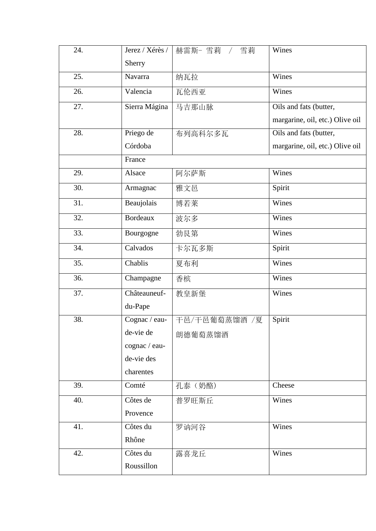| 24. | Jerez / Xérès / | 赫雷斯- 雪莉 /<br>雪莉 | Wines                           |
|-----|-----------------|-----------------|---------------------------------|
|     | Sherry          |                 |                                 |
| 25. | Navarra         | 纳瓦拉             | Wines                           |
| 26. | Valencia        | 瓦伦西亚            | Wines                           |
| 27. | Sierra Mágina   | 马吉那山脉           | Oils and fats (butter,          |
|     |                 |                 | margarine, oil, etc.) Olive oil |
| 28. | Priego de       | 布列高科尔多瓦         | Oils and fats (butter,          |
|     | Córdoba         |                 | margarine, oil, etc.) Olive oil |
|     | France          |                 |                                 |
| 29. | Alsace          | 阿尔萨斯            | Wines                           |
| 30. | Armagnac        | 雅文邑             | Spirit                          |
| 31. | Beaujolais      | 博若莱             | Wines                           |
| 32. | <b>Bordeaux</b> | 波尔多             | Wines                           |
| 33. | Bourgogne       | 勃艮第             | Wines                           |
| 34. | Calvados        | 卡尔瓦多斯           | Spirit                          |
| 35. | Chablis         | 夏布利             | Wines                           |
| 36. | Champagne       | 香槟              | Wines                           |
| 37. | Châteauneuf-    | 教皇新堡            | Wines                           |
|     | du-Pape         |                 |                                 |
| 38. | Cognac / eau-   | 干邑/干邑葡萄蒸馏酒 /夏   | Spirit                          |
|     | de-vie de       | 朗德葡萄蒸馏酒         |                                 |
|     | cognac / eau-   |                 |                                 |
|     | de-vie des      |                 |                                 |
|     | charentes       |                 |                                 |
| 39. | Comté           | 孔泰 (奶酪)         | Cheese                          |
| 40. | Côtes de        | 普罗旺斯丘           | Wines                           |
|     | Provence        |                 |                                 |
| 41. | Côtes du        | 罗讷河谷            | Wines                           |
|     | Rhône           |                 |                                 |
| 42. | Côtes du        | 露喜龙丘            | Wines                           |
|     | Roussillon      |                 |                                 |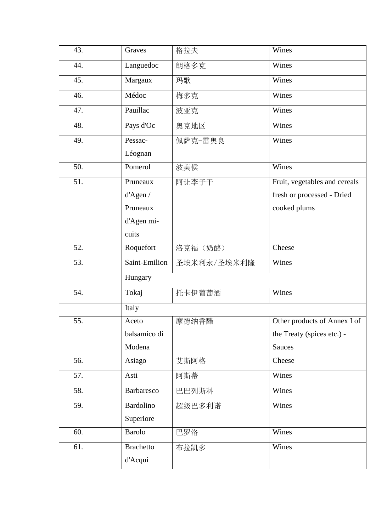| 43. | Graves            | 格拉夫         | Wines                         |
|-----|-------------------|-------------|-------------------------------|
| 44. | Languedoc         | 朗格多克        | Wines                         |
| 45. | Margaux           | 玛歌          | Wines                         |
| 46. | Médoc             | 梅多克         | Wines                         |
| 47. | Pauillac          | 波亚克         | Wines                         |
| 48. | Pays d'Oc         | 奥克地区        | Wines                         |
| 49. | Pessac-           | 佩萨克-雷奥良     | Wines                         |
|     | Léognan           |             |                               |
| 50. | Pomerol           | 波美侯         | Wines                         |
| 51. | Pruneaux          | 阿让李子干       | Fruit, vegetables and cereals |
|     | d'Agen /          |             | fresh or processed - Dried    |
|     | Pruneaux          |             | cooked plums                  |
|     | d'Agen mi-        |             |                               |
|     | cuits             |             |                               |
| 52. | Roquefort         | 洛克福(奶酪)     | Cheese                        |
| 53. | Saint-Emilion     | 圣埃米利永/圣埃米利隆 | Wines                         |
|     | Hungary           |             |                               |
| 54. | Tokaj             | 托卡伊葡萄酒      | Wines                         |
|     | Italy             |             |                               |
| 55. | Aceto             | 摩德纳香醋       | Other products of Annex I of  |
|     | balsamico di      |             | the Treaty (spices etc.) -    |
|     | Modena            |             | Sauces                        |
| 56. | Asiago            | 艾斯阿格        | Cheese                        |
| 57. | Asti              | 阿斯蒂         | Wines                         |
| 58. | <b>Barbaresco</b> | 巴巴列斯科       | Wines                         |
| 59. | <b>Bardolino</b>  | 超级巴多利诺      | Wines                         |
|     | Superiore         |             |                               |
| 60. | <b>Barolo</b>     | 巴罗洛         | Wines                         |
| 61. | <b>Brachetto</b>  | 布拉凯多        | Wines                         |
|     | d'Acqui           |             |                               |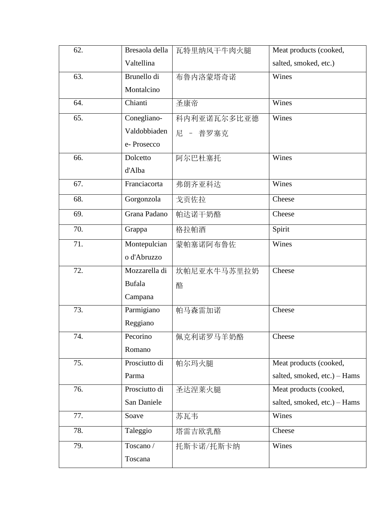| 62. | Bresaola della | 瓦特里纳风干牛肉火腿  | Meat products (cooked,       |
|-----|----------------|-------------|------------------------------|
|     | Valtellina     |             | salted, smoked, etc.)        |
| 63. | Brunello di    | 布鲁内洛蒙塔奇诺    | Wines                        |
|     | Montalcino     |             |                              |
| 64. | Chianti        | 圣康帝         | Wines                        |
| 65. | Conegliano-    | 科内利亚诺瓦尔多比亚德 | Wines                        |
|     | Valdobbiaden   | 尼 - 普罗塞克    |                              |
|     | e-Prosecco     |             |                              |
| 66. | Dolcetto       | 阿尔巴杜塞托      | Wines                        |
|     | d'Alba         |             |                              |
| 67. | Franciacorta   | 弗朗齐亚科达      | Wines                        |
| 68. | Gorgonzola     | 戈贡佐拉        | Cheese                       |
| 69. | Grana Padano   | 帕达诺干奶酪      | Cheese                       |
| 70. | Grappa         | 格拉帕酒        | Spirit                       |
| 71. | Montepulcian   | 蒙帕塞诺阿布鲁佐    | Wines                        |
|     | o d'Abruzzo    |             |                              |
| 72. | Mozzarella di  | 坎帕尼亚水牛马苏里拉奶 | Cheese                       |
|     | <b>Bufala</b>  | 酪           |                              |
|     | Campana        |             |                              |
| 73. | Parmigiano     | 帕马森雷加诺      | Cheese                       |
|     | Reggiano       |             |                              |
| 74. | Pecorino       | 佩克利诺罗马羊奶酪   | Cheese                       |
|     | Romano         |             |                              |
| 75. | Prosciutto di  | 帕尔玛火腿       | Meat products (cooked,       |
|     | Parma          |             | salted, smoked, etc.) - Hams |
| 76. | Prosciutto di  | 圣达涅莱火腿      | Meat products (cooked,       |
|     | San Daniele    |             | salted, smoked, etc.) - Hams |
| 77. | Soave          | 苏瓦韦         | Wines                        |
| 78. | Taleggio       | 塔雷吉欧乳酪      | Cheese                       |
| 79. | Toscano/       | 托斯卡诺/托斯卡纳   | Wines                        |
|     | Toscana        |             |                              |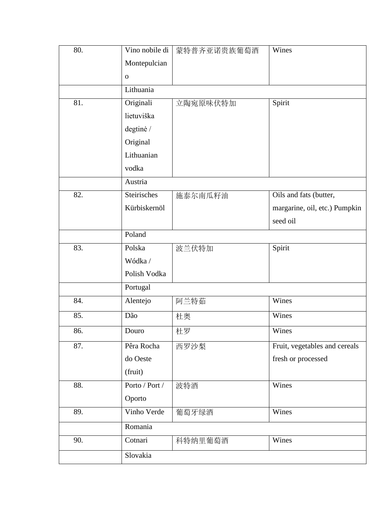| 80. | Vino nobile di | 蒙特普齐亚诺贵族葡萄酒 | Wines                         |  |
|-----|----------------|-------------|-------------------------------|--|
|     | Montepulcian   |             |                               |  |
|     | $\mathbf O$    |             |                               |  |
|     | Lithuania      |             |                               |  |
| 81. | Originali      | 立陶宛原味伏特加    | Spirit                        |  |
|     | lietuviška     |             |                               |  |
|     | degtinė /      |             |                               |  |
|     | Original       |             |                               |  |
|     | Lithuanian     |             |                               |  |
|     | vodka          |             |                               |  |
|     | Austria        |             |                               |  |
| 82. | Steirisches    | 施泰尔南瓜籽油     | Oils and fats (butter,        |  |
|     | Kürbiskernöl   |             | margarine, oil, etc.) Pumpkin |  |
|     |                |             | seed oil                      |  |
|     | Poland         |             |                               |  |
| 83. | Polska         | 波兰伏特加       | Spirit                        |  |
|     | Wódka/         |             |                               |  |
|     | Polish Vodka   |             |                               |  |
|     | Portugal       |             |                               |  |
| 84. | Alentejo       | 阿兰特茹        | Wines                         |  |
| 85. | Dão            | 杜奥          | Wines                         |  |
| 86. | Douro          | 杜罗          | Wines                         |  |
| 87. | Pêra Rocha     | 西罗沙梨        | Fruit, vegetables and cereals |  |
|     | do Oeste       |             | fresh or processed            |  |
|     | (fruit)        |             |                               |  |
| 88. | Porto / Port / | 波特酒         | Wines                         |  |
|     | Oporto         |             |                               |  |
| 89. | Vinho Verde    | 葡萄牙绿酒       | Wines                         |  |
|     | Romania        |             |                               |  |
| 90. | Cotnari        | 科特纳里葡萄酒     | Wines                         |  |
|     | Slovakia       |             |                               |  |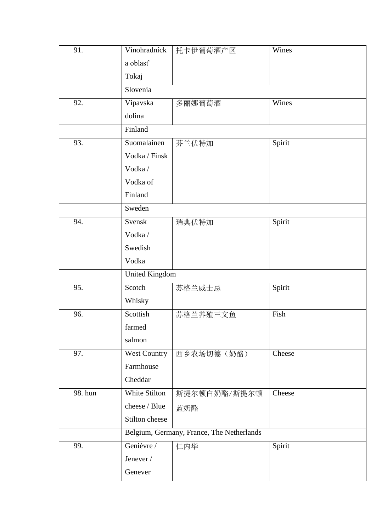| 91.     | Vinohradníck        | 托卡伊葡萄酒产区                                  | Wines  |
|---------|---------------------|-------------------------------------------|--------|
|         | a oblasť            |                                           |        |
|         | Tokaj               |                                           |        |
|         | Slovenia            |                                           |        |
|         |                     |                                           |        |
| 92.     | Vipavska            | 多丽娜葡萄酒                                    | Wines  |
|         | dolina              |                                           |        |
|         | Finland             |                                           |        |
| 93.     | Suomalainen         | 芬兰伏特加                                     | Spirit |
|         | Vodka / Finsk       |                                           |        |
|         | Vodka/              |                                           |        |
|         | Vodka of            |                                           |        |
|         | Finland             |                                           |        |
|         | Sweden              |                                           |        |
| 94.     | Svensk              | 瑞典伏特加                                     | Spirit |
|         | Vodka/              |                                           |        |
|         | Swedish             |                                           |        |
|         | Vodka               |                                           |        |
|         | United Kingdom      |                                           |        |
| 95.     | Scotch              | 苏格兰威士忌                                    | Spirit |
|         | Whisky              |                                           |        |
| 96.     | Scottish            | 苏格兰养殖三文鱼                                  | Fish   |
|         | farmed              |                                           |        |
|         | salmon              |                                           |        |
| 97.     | <b>West Country</b> | 西乡农场切德(奶酪)                                | Cheese |
|         | Farmhouse           |                                           |        |
|         | Cheddar             |                                           |        |
| 98. hun | White Stilton       | 斯提尔顿白奶酪/斯提尔顿                              | Cheese |
|         | cheese / Blue       | 蓝奶酪                                       |        |
|         | Stilton cheese      |                                           |        |
|         |                     | Belgium, Germany, France, The Netherlands |        |
| 99.     | Genièvre /          | 仁内华                                       | Spirit |
|         | Jenever /           |                                           |        |
|         | Genever             |                                           |        |
|         |                     |                                           |        |